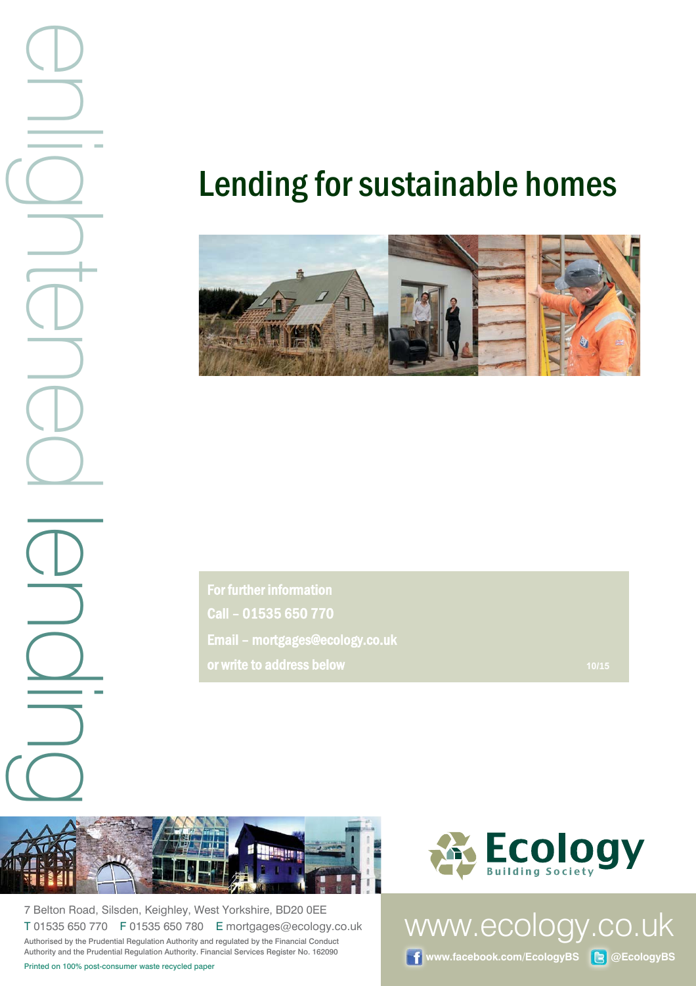$\begin{array}{ccc}\n\bullet & \bullet & \bullet & \bullet & \bullet \\
\hline\n\text{P} & \text{P} & \text{P} & \text{P} & \text{P} & \text{P} & \text{P} \\
\hline\n\text{P} & \text{P} & \text{P} & \text{P} & \text{P} & \text{P} & \text{P} \\
\hline\n\text{P} & \text{P} & \text{P} & \text{P} & \text{P} & \text{P} & \text{P} & \text{P} \\
\hline\n\text{P} & \text{P} & \text{P} & \text{P} & \text{P} & \text{P} & \text{P} & \text{P} & \$ 

# Lending for sustainable homes



For further information Call – 01535 650 770 Email – mortgages@ecology.co.uk or write to address below *Manufacture of the Contract Contract Contract Contract Contract Contract Contract Contract Contract Contract Contract Contract Contract Contract Contract Contract Contract Contract Contract Cont* 



7 Belton Road, Silsden, Keighley, West Yorkshire, BD20 0EE T 01535 650 770 F 01535 650 780 E mortgages@ecology.co.uk Authorised by the Prudential Regulation Authority and regulated by the Financial Conduct Authority and the Prudential Regulation Authority. Financial Services Register No. 162090



www.ecology.co.uk

**f** www.facebook.com/EcologyBS **B** @EcologyBS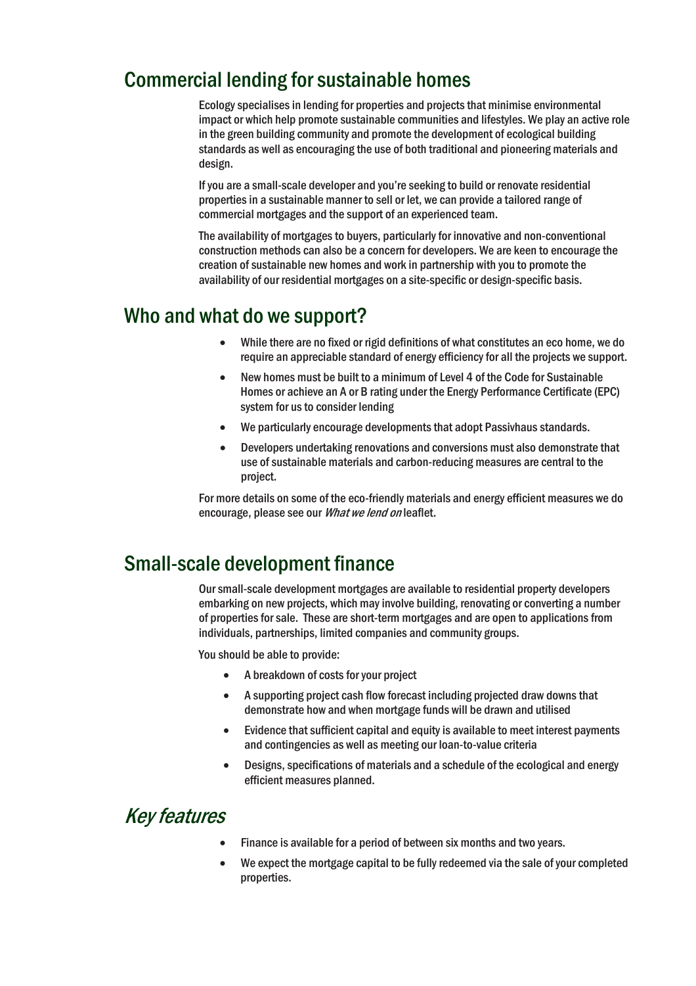## Commercial lending for sustainable homes

Ecology specialises in lending for properties and projects that minimise environmental impact or which help promote sustainable communities and lifestyles. We play an active role in the green building community and promote the development of ecological building standards as well as encouraging the use of both traditional and pioneering materials and design.

If you are a small-scale developer and you're seeking to build or renovate residential properties in a sustainable manner to sell or let, we can provide a tailored range of commercial mortgages and the support of an experienced team.

The availability of mortgages to buyers, particularly for innovative and non-conventional construction methods can also be a concern for developers. We are keen to encourage the creation of sustainable new homes and work in partnership with you to promote the availability of our residential mortgages on a site-specific or design-specific basis.

### Who and what do we support?

- While there are no fixed or rigid definitions of what constitutes an eco home, we do require an appreciable standard of energy efficiency for all the projects we support.
- New homes must be built to a minimum of Level 4 of the Code for Sustainable Homes or achieve an A or B rating under the Energy Performance Certificate (EPC) system for us to consider lending
- We particularly encourage developments that adopt Passivhaus standards.
- Developers undertaking renovations and conversions must also demonstrate that use of sustainable materials and carbon-reducing measures are central to the project.

For more details on some of the eco-friendly materials and energy efficient measures we do encourage, please see our What we lend on leaflet.

## Small-scale development finance

Our small-scale development mortgages are available to residential property developers embarking on new projects, which may involve building, renovating or converting a number of properties for sale. These are short-term mortgages and are open to applications from individuals, partnerships, limited companies and community groups.

You should be able to provide:

- x A breakdown of costs for your project
- A supporting project cash flow forecast including projected draw downs that demonstrate how and when mortgage funds will be drawn and utilised
- Evidence that sufficient capital and equity is available to meet interest payments and contingencies as well as meeting our loan-to-value criteria
- Designs, specifications of materials and a schedule of the ecological and energy efficient measures planned.

## Key features

- Finance is available for a period of between six months and two years.
- We expect the mortgage capital to be fully redeemed via the sale of your completed properties.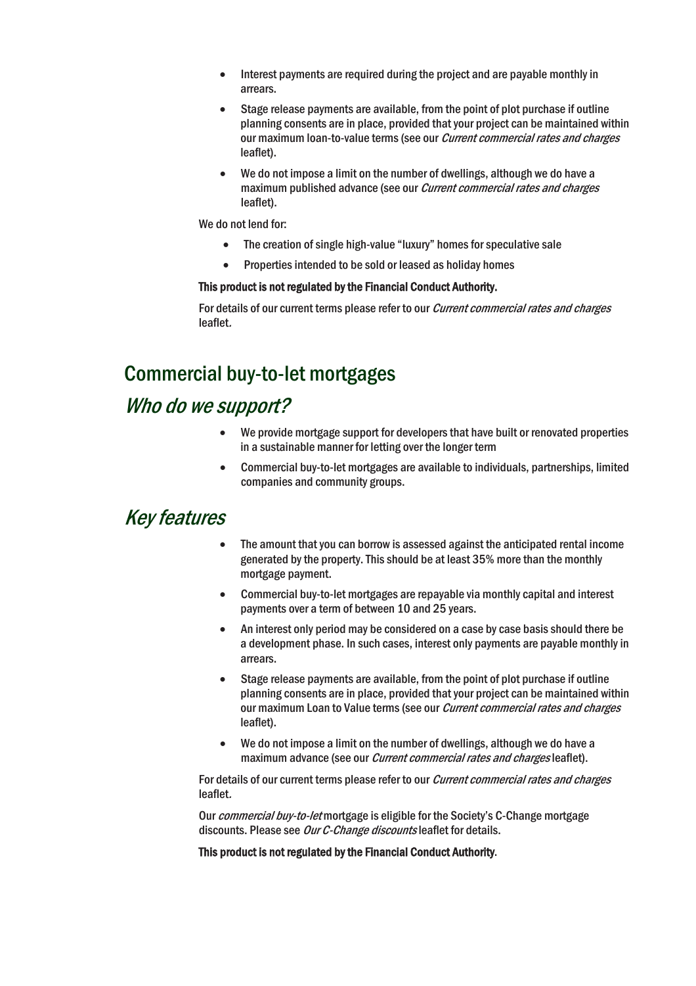- $\bullet$  Interest payments are required during the project and are payable monthly in arrears.
- Stage release payments are available, from the point of plot purchase if outline planning consents are in place, provided that your project can be maintained within our maximum loan-to-value terms (see our *Current commercial rates and charges* leaflet).
- We do not impose a limit on the number of dwellings, although we do have a maximum published advance (see our *Current commercial rates and charges* leaflet).

We do not lend for:

- The creation of single high-value "luxury" homes for speculative sale
- Properties intended to be sold or leased as holiday homes

#### This product is not regulated by the Financial Conduct Authority.

For details of our current terms please refer to our *Current commercial rates and charges* leaflet.

# Commercial buy-to-let mortgages

### Who do we support?

- We provide mortgage support for developers that have built or renovated properties in a sustainable manner for letting over the longer term
- Commercial buy-to-let mortgages are available to individuals, partnerships, limited companies and community groups.

#### Key features

- The amount that you can borrow is assessed against the anticipated rental income generated by the property. This should be at least 35% more than the monthly mortgage payment.
- x Commercial buy-to-let mortgages are repayable via monthly capital and interest payments over a term of between 10 and 25 years.
- An interest only period may be considered on a case by case basis should there be a development phase. In such cases, interest only payments are payable monthly in arrears.
- Stage release payments are available, from the point of plot purchase if outline planning consents are in place, provided that your project can be maintained within our maximum Loan to Value terms (see our *Current commercial rates and charges* leaflet).
- $\bullet$  We do not impose a limit on the number of dwellings, although we do have a maximum advance (see our *Current commercial rates and charges* leaflet).

For details of our current terms please refer to our *Current commercial rates and charges* leaflet.

Our *commercial buy-to-let* mortgage is eligible for the Society's C-Change mortgage discounts. Please see Our C-Change discounts leaflet for details.

This product is not regulated by the Financial Conduct Authority.